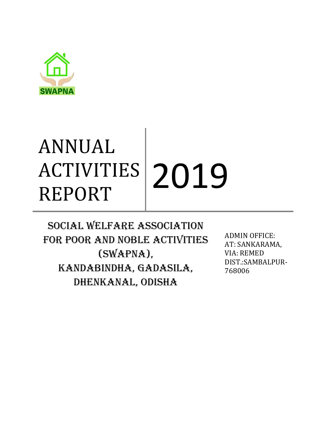

# ANNUAL ACTIVITIES ACTIVITIES 2019

SOCIAL WELFARE ASSOCIATION FOR POOR AND NOBLE ACTIVITIES (SWAPNA), KANDABINDHA, GADASILA, DHENKANAL, ODISHA

ADMIN OFFICE: AT: SANKARAMA, VIA: REMED DIST.:SAMBALPUR-768006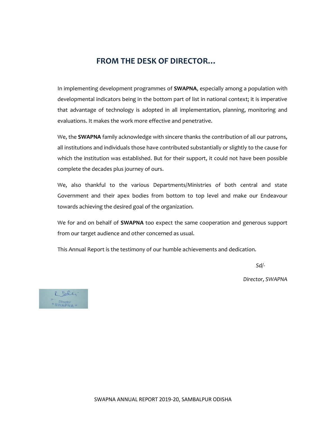# **FROM THE DESK OF DIRECTOR…**

In implementing development programmes of **SWAPNA**, especially among a population with developmental indicators being in the bottom part of list in national context; it is imperative that advantage of technology is adopted in all implementation, planning, monitoring and evaluations. It makes the work more effective and penetrative.

We, the **SWAPNA** family acknowledge with sincere thanks the contribution of all our patrons, all institutions and individuals those have contributed substantially or slightly to the cause for which the institution was established. But for their support, it could not have been possible complete the decades plus journey of ours.

We, also thankful to the various Departments/Ministries of both central and state Government and their apex bodies from bottom to top level and make our Endeavour towards achieving the desired goal of the organization.

We for and on behalf of **SWAPNA** too expect the same cooperation and generous support from our target audience and other concerned as usual.

This Annual Report is the testimony of our humble achievements and dedication.

 *Sd/-*

 *Director, SWAPNA*

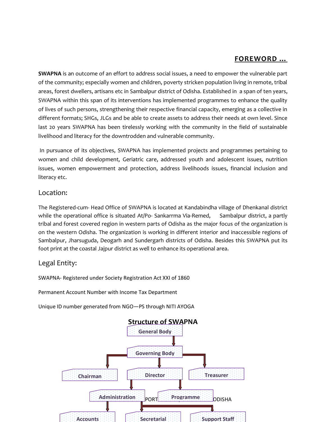# **FOREWORD …**

**SWAPNA** is an outcome of an effort to address social issues, a need to empower the vulnerable part of the community; especially women and children, poverty stricken population living in remote, tribal areas, forest dwellers, artisans etc in Sambalpur district of Odisha. Established in a span of ten years, SWAPNA within this span of its interventions has implemented programmes to enhance the quality of lives of such persons, strengthening their respective financial capacity, emerging as a collective in different formats; SHGs, JLGs and be able to create assets to address their needs at own level. Since last 20 years SWAPNA has been tirelessly working with the community in the field of sustainable livelihood and literacy for the downtrodden and vulnerable community.

In pursuance of its objectives, SWAPNA has implemented projects and programmes pertaining to women and child development, Geriatric care, addressed youth and adolescent issues, nutrition issues, women empowerment and protection, address livelihoods issues, financial inclusion and literacy etc.

#### Location:

The Registered-cum- Head Office of SWAPNA is located at Kandabindha village of Dhenkanal district while the operational office is situated At/Po- Sankarrma Via-Remed, Sambalpur district, a partly tribal and forest covered region in western parts of Odisha as the major focus of the organization is on the western Odisha. The organization is working in different interior and inaccessible regions of Sambalpur, Jharsuguda, Deogarh and Sundergarh districts of Odisha. Besides this SWAPNA put its foot print at the coastal Jajpur district as well to enhance its operational area.

# Legal Entity:

SWAPNA- Registered under Society Registration Act XXI of 1860

Permanent Account Number with Income Tax Department

Unique ID number generated from NGO—PS through NITI AYOGA

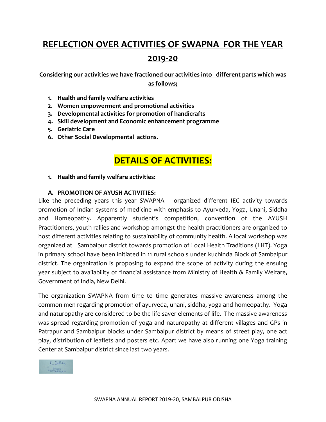# **REFLECTION OVER ACTIVITIES OF SWAPNA FOR THE YEAR 2019-20**

**Considering our activities we have fractioned our activities into different parts which was as follows;**

- **1. Health and family welfare activities**
- **2. Women empowerment and promotional activities**
- **3. Developmental activities for promotion of handicrafts**
- **4. Skill development and Economic enhancement programme**
- **5. Geriatric Care**
- **6. Other Social Developmental actions.**

# **DETAILS OF ACTIVITIES:**

**1. Health and family welfare activities:**

#### **A. PROMOTION OF AYUSH ACTIVITIES:**

Like the preceding years this year SWAPNA organized different IEC activity towards promotion of Indian systems of medicine with emphasis to Ayurveda, Yoga, Unani, Siddha and Homeopathy. Apparently student's competition, convention of the AYUSH Practitioners, youth rallies and workshop amongst the health practitioners are organized to host different activities relating to sustainability of community health. A local workshop was organized at Sambalpur district towards promotion of Local Health Traditions (LHT). Yoga in primary school have been initiated in 11 rural schools under kuchinda Block of Sambalpur district. The organization is proposing to expand the scope of activity during the ensuing year subject to availability of financial assistance from Ministry of Health & Family Welfare, Government of India, New Delhi.

The organization SWAPNA from time to time generates massive awareness among the common men regarding promotion of ayurveda, unani, siddha, yoga and homeopathy. Yoga and naturopathy are considered to be the life saver elements of life. The massive awareness was spread regarding promotion of yoga and naturopathy at different villages and GPs in Patrapur and Sambalpur blocks under Sambalpur district by means of street play, one act play, distribution of leaflets and posters etc. Apart we have also running one Yoga training Center at Sambalpur district since last two years.

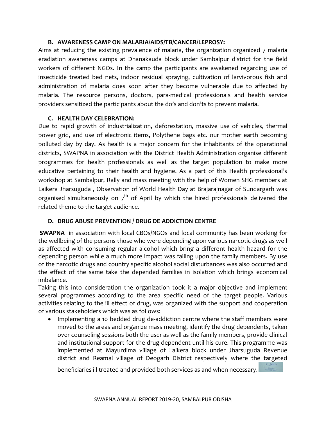#### **B. AWARENESS CAMP ON MALARIA/AIDS/TB/CANCER/LEPROSY:**

Aims at reducing the existing prevalence of malaria, the organization organized 7 malaria eradiation awareness camps at Dhanakauda block under Sambalpur district for the field workers of different NGOs. In the camp the participants are awakened regarding use of insecticide treated bed nets, indoor residual spraying, cultivation of larvivorous fish and administration of malaria does soon after they become vulnerable due to affected by malaria. The resource persons, doctors, para-medical professionals and health service providers sensitized the participants about the do's and don'ts to prevent malaria.

#### **C. HEALTH DAY CELEBRATION:**

Due to rapid growth of industrialization, deforestation, massive use of vehicles, thermal power grid, and use of electronic items, Polythene bags etc. our mother earth becoming polluted day by day. As health is a major concern for the inhabitants of the operational districts, SWAPNA in association with the District Health Administration organise different programmes for health professionals as well as the target population to make more educative pertaining to their health and hygiene. As a part of this Health professional's workshop at Sambalpur, Rally and mass meeting with the help of Women SHG members at Laikera Jharsuguda , Observation of World Health Day at Brajarajnagar of Sundargarh was organised simultaneously on  $7<sup>th</sup>$  of April by which the hired professionals delivered the related theme to the target audience.

#### **D. DRUG ABUSE PREVENTION / DRUG DE ADDICTION CENTRE**

**SWAPNA** in association with local CBOs/NGOs and local community has been working for the wellbeing of the persons those who were depending upon various narcotic drugs as well as affected with consuming regular alcohol which bring a different health hazard for the depending person while a much more impact was falling upon the family members. By use of the narcotic drugs and country specific alcohol social disturbances was also occurred and the effect of the same take the depended families in isolation which brings economical imbalance.

Taking this into consideration the organization took it a major objective and implement several programmes according to the area specific need of the target people. Various activities relating to the ill effect of drug, was organized with the support and cooperation of various stakeholders which was as follows:

 Implementing a 10 bedded drug de-addiction centre where the staff members were moved to the areas and organize mass meeting, identify the drug dependents, taken over counseling sessions both the user as well as the family members, provide clinical and institutional support for the drug dependent until his cure. This programme was implemented at Mayurdima village of Laikera block under Jharsuguda Revenue district and Reamal village of Deogarh District respectively where the targeted

beneficiaries ill treated and provided both services as and when necessary.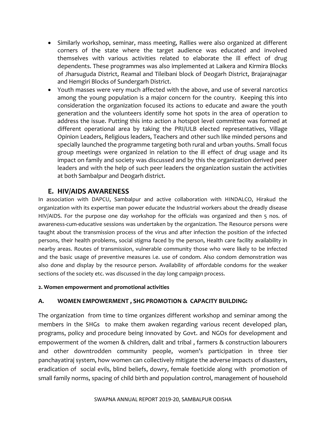- Similarly workshop, seminar, mass meeting, Rallies were also organized at different corners of the state where the target audience was educated and involved themselves with various activities related to elaborate the ill effect of drug dependents. These programmes was also implemented at Laikera and Kirmira Blocks of Jharsuguda District, Reamal and Tileibani block of Deogarh District, Brajarajnagar and Hemgiri Blocks of Sundergarh District.
- Youth masses were very much affected with the above, and use of several narcotics among the young population is a major concern for the country. Keeping this into consideration the organization focused its actions to educate and aware the youth generation and the volunteers identify some hot spots in the area of operation to address the issue. Putting this into action a hotspot level committee was formed at different operational area by taking the PRI/ULB elected representatives, Village Opinion Leaders, Religious leaders, Teachers and other such like minded persons and specially launched the programme targeting both rural and urban youths. Small focus group meetings were organized in relation to the ill effect of drug usage and its impact on family and society was discussed and by this the organization derived peer leaders and with the help of such peer leaders the organization sustain the activities at both Sambalpur and Deogarh district.

# **E. HIV/AIDS AWARENESS**

In association with DAPCU, Sambalpur and active collaboration with HINDALCO, Hirakud the organization with its expertise man power educate the Industrial workers about the dreadly disease HIV/AIDS. For the purpose one day workshop for the officials was organized and then 5 nos. of awareness-cum-educative sessions was undertaken by the organization. The Resource persons were taught about the transmission process of the virus and after infection the position of the infected persons, their health problems, social stigma faced by the person, Health care facility availability in nearby areas. Routes of transmission, vulnerable community those who were likely to be infected and the basic usage of preventive measures i.e. use of condom. Also condom demonstration was also done and display by the resource person. Availability of affordable condoms for the weaker sections of the society etc. was discussed in the day long campaign process.

#### **2. Women empowerment and promotional activities**

#### **A. WOMEN EMPOWERMENT , SHG PROMOTION & CAPACITY BUILDING:**

The organization from time to time organizes different workshop and seminar among the members in the SHGs to make them awaken regarding various recent developed plan, programs, policy and procedure being innovated by Govt. and NGOs for development and empowerment of the women & children, dalit and tribal , farmers & construction labourers and other downtrodden community people, women's participation in three tier panchayatiraj system, how women can collectively mitigate the adverse impacts of disasters, eradication of social evils, blind beliefs, dowry, female foeticide along with promotion of small family norms, spacing of child birth and population control, management of household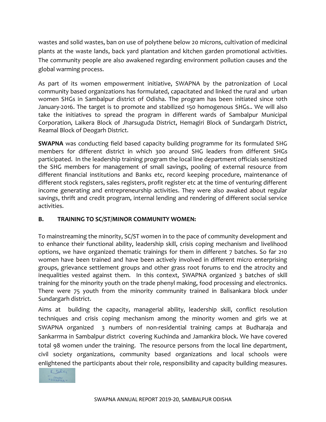wastes and solid wastes, ban on use of polythene below 20 microns, cultivation of medicinal plants at the waste lands, back yard plantation and kitchen garden promotional activities. The community people are also awakened regarding environment pollution causes and the global warming process.

As part of its women empowerment initiative, SWAPNA by the patronization of Local community based organizations has formulated, capacitated and linked the rural and urban women SHGs in Sambalpur district of Odisha. The program has been initiated since 10th January-2016. The target is to promote and stabilized 150 homogenous SHGs.. We will also take the initiatives to spread the program in different wards of Sambalpur Municipal Corporation, Laikera Block of Jharsuguda District, Hemagiri Block of Sundargarh District, Reamal Block of Deogarh District.

**SWAPNA** was conducting field based capacity building programme for its formulated SHG members for different district in which 300 around SHG leaders from different SHGs participated. In the leadership training program the local line department officials sensitized the SHG members for management of small savings, pooling of external resource from different financial institutions and Banks etc, record keeping procedure, maintenance of different stock registers, sales registers, profit register etc at the time of venturing different income generating and entrepreneurship activities. They were also awaked about regular savings, thrift and credit program, internal lending and rendering of different social service activities.

# **B. TRAINING TO SC/ST/MINOR COMMUNITY WOMEN:**

To mainstreaming the minority, SC/ST women in to the pace of community development and to enhance their functional ability, leadership skill, crisis coping mechanism and livelihood options, we have organized thematic trainings for them in different 7 batches. So far 210 women have been trained and have been actively involved in different micro enterprising groups, grievance settlement groups and other grass root forums to end the atrocity and inequalities vested against them. In this context, SWAPNA organized 3 batches of skill training for the minority youth on the trade phenyl making, food processing and electronics. There were 75 youth from the minority community trained in Balisankara block under Sundargarh district.

Aims at building the capacity, managerial ability, leadership skill, conflict resolution techniques and crisis coping mechanism among the minority women and girls we at SWAPNA organized 3 numbers of non-residential training camps at Budharaja and Sankarrma in Sambalpur district covering Kuchinda and Jamankira block. We have covered total 98 women under the training. The resource persons from the local line department, civil society organizations, community based organizations and local schools were enlightened the participants about their role, responsibility and capacity building measures.

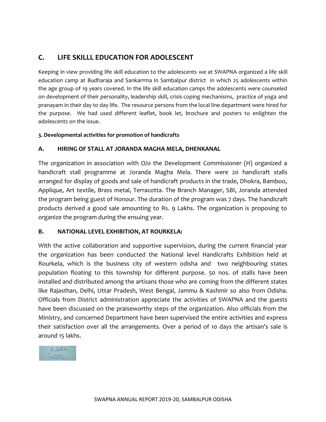# **C. LIFE SKILLL EDUCATION FOR ADOLESCENT**

Keeping in view providing life skill education to the adolescents we at SWAPNA organized a life skill education camp at Budharaja and Sankarrma in Sambalpur district in which 25 adolescents within the age group of 19 years covered. In the life skill education camps the adolescents were counseled on development of their personality, leadership skill, crisis coping mechanisms, practice of yoga and pranayam in their day to day life. The resource persons from the local line department were hired for the purpose. We had used different leaflet, book let, brochure and posters to enlighten the adolescents on the issue.

#### **3. Developmental activities for promotion of handicrafts**

#### **A. HIRING OF STALL AT JORANDA MAGHA MELA, DHENKANAL**

The organization in association with O/o the Development Commissioner (H) organized a handicraft stall programme at Joranda Magha Mela. There were 20 handicraft stalls arranged for display of goods and sale of handicraft products in the trade, Dhokra, Bamboo, Applique, Art textile, Brass metal, Terracotta. The Branch Manager, SBI, Joranda attended the program being guest of Honour. The duration of the program was 7 days. The handicraft products derived a good sale amounting to Rs. 9 Lakhs. The organization is proposing to organize the program during the ensuing year.

#### **B. NATIONAL LEVEL EXHIBITION, AT ROURKELA:**

With the active collaboration and supportive supervision, during the current financial year the organization has been conducted the National level Handicrafts Exhibition held at Rourkela, which is the business city of western odisha and two neighbouring states population floating to this township for different purpose. 50 nos. of stalls have been installed and distributed among the artisans those who are coming from the different states like Rajasthan, Delhi, Uttar Pradesh, West Bengal, Jammu & Kashmir so also from Odisha. Officials from District administration appreciate the activities of SWAPNA and the guests have been discussed on the praiseworthy steps of the organization. Also officials from the Ministry, and concerned Department have been supervised the entire activities and express their satisfaction over all the arrangements. Over a period of 10 days the artisan's sale is around 15 lakhs.

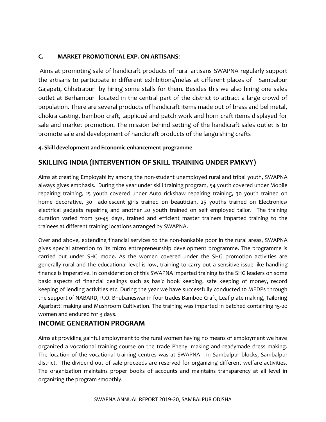#### **C. MARKET PROMOTIONAL EXP. ON ARTISANS**:

Aims at promoting sale of handicraft products of rural artisans SWAPNA regularly support the artisans to participate in different exhibitions/melas at different places of Sambalpur Gajapati, Chhatrapur by hiring some stalls for them. Besides this we also hiring one sales outlet at Berhampur located in the central part of the district to attract a large crowd of population. There are several products of handicraft items made out of brass and bel metal, dhokra casting, bamboo craft, .appliqué and patch work and horn craft items displayed for sale and market promotion. The mission behind setting of the handicraft sales outlet is to promote sale and development of handicraft products of the languishing crafts

#### **4. Skill development and Economic enhancement programme**

# **SKILLING INDIA (INTERVENTION OF SKILL TRAINING UNDER PMKVY)**

Aims at creating Employability among the non-student unemployed rural and tribal youth, SWAPNA always gives emphasis. During the year under skill training program, 54 youth covered under Mobile repairing training, 15 youth covered under Auto rickshaw repairing training, 30 youth trained on home decorative, 30 adolescent girls trained on beautician, 25 youths trained on Electronics/ electrical gadgets repairing and another 20 youth trained on self employed tailor. The training duration varied from 30-45 days, trained and efficient master trainers imparted training to the trainees at different training locations arranged by SWAPNA.

Over and above, extending financial services to the non-bankable poor in the rural areas, SWAPNA gives special attention to its micro entrepreneurship development programme. The programme is carried out under SHG mode. As the women covered under the SHG promotion activities are generally rural and the educational level is low, training to carry out a sensitive issue like handling finance is imperative. In consideration of this SWAPNA imparted training to the SHG leaders on some basic aspects of financial dealings such as basic book keeping, safe keeping of money, record keeping of lending activities etc. During the year we have successfully conducted 10 MEDPs through the support of NABARD, R.O. Bhubaneswar in four trades Bamboo Craft, Leaf plate making, Tailoring Agarbatti making and Mushroom Cultivation. The training was imparted in batched containing 15-20 women and endured for 3 days.

# **INCOME GENERATION PROGRAM**

Aims at providing gainful employment to the rural women having no means of employment we have organized a vocational training course on the trade Phenyl making and readymade dress making. The location of the vocational training centres was at SWAPNA in Sambalpur blocks, Sambalpur district. The dividend out of sale proceeds are reserved for organizing different welfare activities. The organization maintains proper books of accounts and maintains transparency at all level in organizing the program smoothly.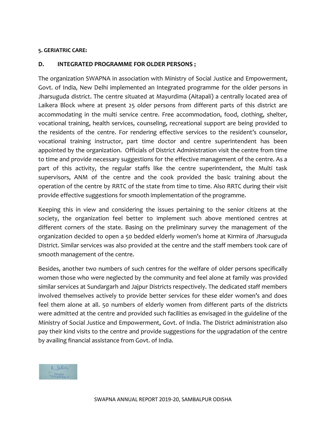#### **5. GERIATRIC CARE:**

#### **D. INTEGRATED PROGRAMME FOR OLDER PERSONS :**

The organization SWAPNA in association with Ministry of Social Justice and Empowerment, Govt. of India, New Delhi implemented an Integrated programme for the older persons in Jharsuguda district. The centre situated at Mayurdima (Aitapali) a centrally located area of Laikera Block where at present 25 older persons from different parts of this district are accommodating in the multi service centre. Free accommodation, food, clothing, shelter, vocational training, health services, counseling, recreational support are being provided to the residents of the centre. For rendering effective services to the resident's counselor, vocational training instructor, part time doctor and centre superintendent has been appointed by the organization. Officials of District Administration visit the centre from time to time and provide necessary suggestions for the effective management of the centre. As a part of this activity, the regular staffs like the centre superintendent, the Multi task supervisors, ANM of the centre and the cook provided the basic training about the operation of the centre by RRTC of the state from time to time. Also RRTC during their visit provide effective suggestions for smooth implementation of the programme.

Keeping this in view and considering the issues pertaining to the senior citizens at the society, the organization feel better to implement such above mentioned centres at different corners of the state. Basing on the preliminary survey the management of the organization decided to open a 50 bedded elderly women's home at Kirmira of Jharsuguda District. Similar services was also provided at the centre and the staff members took care of smooth management of the centre.

Besides, another two numbers of such centres for the welfare of older persons specifically women those who were neglected by the community and feel alone at family was provided similar services at Sundargarh and Jajpur Districts respectively. The dedicated staff members involved themselves actively to provide better services for these elder women's and does feel them alone at all. 50 numbers of elderly women from different parts of the districts were admitted at the centre and provided such facilities as envisaged in the guideline of the Ministry of Social Justice and Empowerment, Govt. of India. The District administration also pay their kind visits to the centre and provide suggestions for the upgradation of the centre by availing financial assistance from Govt. of India.

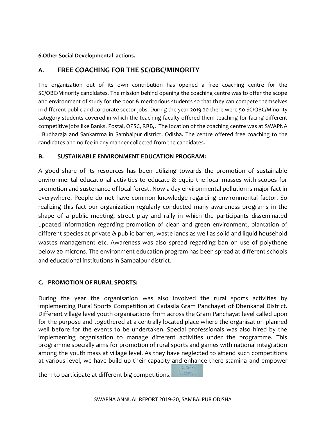#### **6.Other Social Developmental actions.**

# **A. FREE COACHING FOR THE SC/OBC/MINORITY**

The organization out of its own contribution has opened a free coaching centre for the SC/OBC/Minority candidates. The mission behind opening the coaching centre was to offer the scope and environment of study for the poor & meritorious students so that they can compete themselves in different public and corporate sector jobs. During the year 2019-20 there were 50 SC/OBC/Minority category students covered in which the teaching faculty offered them teaching for facing different competitive jobs like Banks, Postal, OPSC, RRB,. The location of the coaching centre was at SWAPNA , Budharaja and Sankarrma in Sambalpur district. Odisha. The centre offered free coaching to the candidates and no fee in any manner collected from the candidates.

#### **B. SUSTAINABLE ENVIRONMENT EDUCATION PROGRAM:**

A good share of its resources has been utilizing towards the promotion of sustainable environmental educational activities to educate & equip the local masses with scopes for promotion and sustenance of local forest. Now a day environmental pollution is major fact in everywhere. People do not have common knowledge regarding environmental factor. So realizing this fact our organization regularly conducted many awareness programs in the shape of a public meeting, street play and rally in which the participants disseminated updated information regarding promotion of clean and green environment, plantation of different species at private & public barren, waste lands as well as solid and liquid household wastes management etc. Awareness was also spread regarding ban on use of polythene below 20 microns. The environment education program has been spread at different schools and educational institutions in Sambalpur district.

#### **C. PROMOTION OF RURAL SPORTS:**

During the year the organisation was also involved the rural sports activities by implementing Rural Sports Competition at Gadasila Gram Panchayat of Dhenkanal District. Different village level youth organisations from across the Gram Panchayat level called upon for the purpose and togethered at a centrally located place where the organisation planned well before for the events to be undertaken. Special professionals was also hired by the implementing organisation to manage different activities under the programme. This programme specially aims for promotion of rural sports and games with national integration among the youth mass at village level. As they have neglected to attend such competitions at various level, we have build up their capacity and enhance there stamina and empower

them to participate at different big competitions.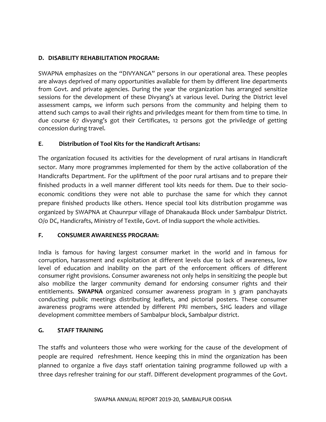#### **D. DISABILITY REHABILITATION PROGRAM:**

SWAPNA emphasizes on the "DIVYANGA" persons in our operational area. These peoples are always deprived of many opportunities available for them by different line departments from Govt. and private agencies. During the year the organization has arranged sensitize sessions for the development of these Divyang's at various level. During the District level assessment camps, we inform such persons from the community and helping them to attend such camps to avail their rights and priviledges meant for them from time to time. In due course 67 divyang's got their Certificates, 12 persons got the priviledge of getting concession during travel.

#### **E**. **Distribution of Tool Kits for the Handicraft Artisans:**

The organization focused its activities for the development of rural artisans in Handicraft sector. Many more programmes implemented for them by the active collaboration of the Handicrafts Department. For the upliftment of the poor rural artisans and to prepare their finished products in a well manner different tool kits needs for them. Due to their socioeconomic conditions they were not able to purchase the same for which they cannot prepare finished products like others. Hence special tool kits distribution progamme was organized by SWAPNA at Chaunrpur village of Dhanakauda Block under Sambalpur District. O/o DC, Handicrafts, Ministry of Textile, Govt. of India support the whole activities.

#### **F. CONSUMER AWARENESS PROGRAM:**

India is famous for having largest consumer market in the world and in famous for corruption, harassment and exploitation at different levels due to lack of awareness, low level of education and inability on the part of the enforcement officers of different consumer right provisions. Consumer awareness not only helps in sensitizing the people but also mobilize the larger community demand for endorsing consumer rights and their entitlements. **SWAPNA** organized consumer awareness program in 3 gram panchayats conducting public meetings distributing leaflets, and pictorial posters. These consumer awareness programs were attended by different PRI members, SHG leaders and village development committee members of Sambalpur block, Sambalpur district.

#### **G. STAFF TRAINING**

The staffs and volunteers those who were working for the cause of the development of people are required refreshment. Hence keeping this in mind the organization has been planned to organize a five days staff orientation taining programme followed up with a three days refresher training for our staff. Different development programmes of the Govt.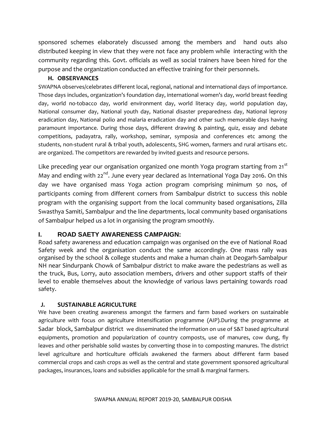sponsored schemes elaborately discussed among the members and hand outs also distributed keeping in view that they were not face any problem while interacting with the community regarding this. Govt. officials as well as social trainers have been hired for the purpose and the organization conducted an effective training for their personnels.

#### **H. OBSERVANCES**

SWAPNA observes/celebrates different local, regional, national and international days of importance. Those days includes, organization's foundation day, international women's day, world breast feeding day, world no-tobacco day, world environment day, world literacy day, world population day, National consumer day, National youth day, National disaster preparedness day, National leprosy eradication day, National polio and malaria eradication day and other such memorable days having paramount importance. During those days, different drawing & painting, quiz, essay and debate competitions, padayatra, rally, workshop, seminar, symposia and conferences etc among the students, non-student rural & tribal youth, adolescents, SHG women, farmers and rural artisans etc. are organized. The competitors are rewarded by invited guests and resource persons.

Like preceding year our organisation organized one month Yoga program starting from 21<sup>st</sup> May and ending with  $22^{nd}$ . June every year declared as International Yoga Day 2016. On this day we have organised mass Yoga action program comprising minimum 50 nos, of participants coming from different corners from Sambalpur district to success this noble program with the organising support from the local community based organisations, Zilla Swasthya Samiti, Sambalpur and the line departments, local community based organisations of Sambalpur helped us a lot in organising the program smoothly.

#### **I. ROAD SAETY AWARENESS CAMPAIGN:**

Road safety awareness and education campaign was organised on the eve of National Road Safety week and the organisation conduct the same accordingly. One mass rally was organised by the school & college students and make a human chain at Deogarh-Sambalpur NH near Sindurpank Chowk of Sambalpur district to make aware the pedestrians as well as the truck, Bus, Lorry, auto association members, drivers and other support staffs of their level to enable themselves about the knowledge of various laws pertaining towards road safety.

#### **J. SUSTAINABLE AGRICULTURE**

We have been creating awareness amongst the farmers and farm based workers on sustainable agriculture with focus on agriculture intensification programme (AIP).During the programme at Sadar block, Sambalpur district we disseminated the information on use of S&T based agricultural equipments, promotion and popularization of country composts, use of manures, cow dung, fly leaves and other perishable solid wastes by converting those in to composting manures. The district level agriculture and horticulture officials awakened the farmers about different farm based commercial crops and cash crops as well as the central and state government sponsored agricultural packages, insurances, loans and subsidies applicable for the small & marginal farmers.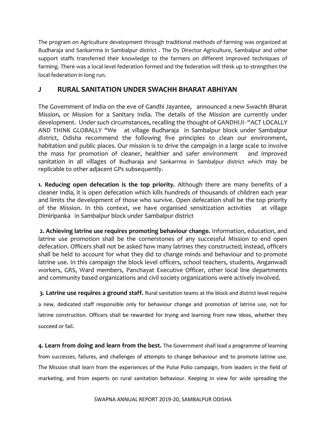The program on Agriculture development through traditional methods of farming was organized at Budharaja and Sankarrma in Sambalpur district . The Dy Director Agriculture, Sambalpur and other support staffs transferred their knowledge to the farmers on different improved techniques of farming. There was a local level federation formed and the federation will think up to strengthen the local federation in long run.

# **J RURAL SANITATION UNDER SWACHH BHARAT ABHIYAN**

The Government of India on the eve of Gandhi Jayantee, announced a new Swachh Bharat Mission, or Mission for a Sanitary India. The details of the Mission are currently under development. Under such circumstances, recalling the thought of GANDHIJI- "ACT LOCALLY AND THINK GLOBALLY "We at village Budharaja in Sambalpur block under Sambalpur district, Odisha recommend the following five principles to clean our environment, habitation and public places. Our mission is to drive the campaign in a large scale to involve the mass for promotion of cleaner, healthier and safer environment and improved sanitation in all villages of Budharaja and Sankarrma in Sambalpur district which may be replicable to other adjacent GPs subsequently.

**1. Reducing open defecation is the top priority.** Although there are many benefits of a cleaner India, it is open defecation which kills hundreds of thousands of children each year and limits the development of those who survive. Open defecation shall be the top priority of the Mission. In this context, we have organised sensitization activities at village Dimiripanka in Sambalpur block under Sambalpur district

**2. Achieving latrine use requires promoting behaviour change.** Information, education, and latrine use promotion shall be the cornerstones of any successful Mission to end open defecation. Officers shall not be asked how many latrines they constructed; instead, officers shall be held to account for what they did to change minds and behaviour and to promote latrine use. In this campaign the block level officers, school teachers, students, Anganwadi workers, GRS, Ward members, Panchayat Executive Officer, other local line departments and community based organizations and civil society organizations were actively involved.

**3. Latrine use requires a ground staff.** Rural sanitation teams at the block and district level require a new, dedicated staff responsible only for behaviour change and promotion of latrine use, not for latrine construction. Officers shall be rewarded for trying and learning from new ideas, whether they succeed or fail.

**4. Learn from doing and learn from the best.** The Government shall lead a programme of learning from successes, failures, and challenges of attempts to change behaviour and to promote latrine use. The Mission shall learn from the experiences of the Pulse Polio campaign, from leaders in the field of marketing, and from experts on rural sanitation behaviour. Keeping in view for wide spreading the